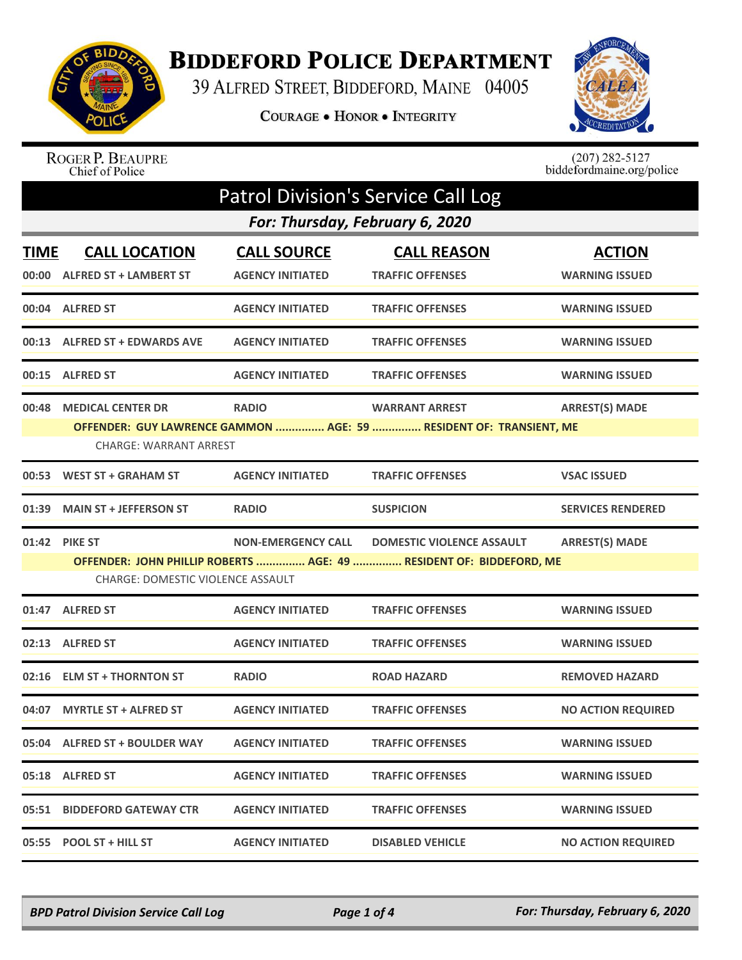

## **BIDDEFORD POLICE DEPARTMENT**

39 ALFRED STREET, BIDDEFORD, MAINE 04005

COURAGE . HONOR . INTEGRITY



ROGER P. BEAUPRE<br>Chief of Police

 $(207)$  282-5127<br>biddefordmaine.org/police

| <b>Patrol Division's Service Call Log</b> |                                                           |                                               |                                                                                                         |                                        |  |
|-------------------------------------------|-----------------------------------------------------------|-----------------------------------------------|---------------------------------------------------------------------------------------------------------|----------------------------------------|--|
| For: Thursday, February 6, 2020           |                                                           |                                               |                                                                                                         |                                        |  |
| <b>TIME</b><br>00:00                      | <b>CALL LOCATION</b><br><b>ALFRED ST + LAMBERT ST</b>     | <b>CALL SOURCE</b><br><b>AGENCY INITIATED</b> | <b>CALL REASON</b><br><b>TRAFFIC OFFENSES</b>                                                           | <b>ACTION</b><br><b>WARNING ISSUED</b> |  |
|                                           | 00:04 ALFRED ST                                           | <b>AGENCY INITIATED</b>                       | <b>TRAFFIC OFFENSES</b>                                                                                 | <b>WARNING ISSUED</b>                  |  |
|                                           | 00:13 ALFRED ST + EDWARDS AVE                             | <b>AGENCY INITIATED</b>                       | <b>TRAFFIC OFFENSES</b>                                                                                 | <b>WARNING ISSUED</b>                  |  |
| 00:15                                     | <b>ALFRED ST</b>                                          | <b>AGENCY INITIATED</b>                       | <b>TRAFFIC OFFENSES</b>                                                                                 | <b>WARNING ISSUED</b>                  |  |
| 00:48                                     | <b>MEDICAL CENTER DR</b><br><b>CHARGE: WARRANT ARREST</b> | <b>RADIO</b>                                  | <b>WARRANT ARREST</b><br>OFFENDER: GUY LAWRENCE GAMMON  AGE: 59  RESIDENT OF: TRANSIENT, ME             | <b>ARREST(S) MADE</b>                  |  |
|                                           | 00:53 WEST ST + GRAHAM ST                                 | <b>AGENCY INITIATED</b>                       | <b>TRAFFIC OFFENSES</b>                                                                                 | <b>VSAC ISSUED</b>                     |  |
|                                           | 01:39 MAIN ST + JEFFERSON ST                              | <b>RADIO</b>                                  | <b>SUSPICION</b>                                                                                        | <b>SERVICES RENDERED</b>               |  |
|                                           | 01:42 PIKE ST<br><b>CHARGE: DOMESTIC VIOLENCE ASSAULT</b> | <b>NON-EMERGENCY CALL</b>                     | <b>DOMESTIC VIOLENCE ASSAULT</b><br>OFFENDER: JOHN PHILLIP ROBERTS  AGE: 49  RESIDENT OF: BIDDEFORD, ME | <b>ARREST(S) MADE</b>                  |  |
|                                           | 01:47 ALFRED ST                                           | <b>AGENCY INITIATED</b>                       | <b>TRAFFIC OFFENSES</b>                                                                                 | <b>WARNING ISSUED</b>                  |  |
|                                           | 02:13 ALFRED ST                                           | <b>AGENCY INITIATED</b>                       | <b>TRAFFIC OFFENSES</b>                                                                                 | <b>WARNING ISSUED</b>                  |  |
|                                           | 02:16 ELM ST + THORNTON ST                                | <b>RADIO</b>                                  | <b>ROAD HAZARD</b>                                                                                      | <b>REMOVED HAZARD</b>                  |  |
| 04:07                                     | <b>MYRTLE ST + ALFRED ST</b>                              | <b>AGENCY INITIATED</b>                       | <b>TRAFFIC OFFENSES</b>                                                                                 | <b>NO ACTION REQUIRED</b>              |  |
|                                           | 05:04 ALFRED ST + BOULDER WAY                             | <b>AGENCY INITIATED</b>                       | <b>TRAFFIC OFFENSES</b>                                                                                 | <b>WARNING ISSUED</b>                  |  |
|                                           | 05:18 ALFRED ST                                           | <b>AGENCY INITIATED</b>                       | <b>TRAFFIC OFFENSES</b>                                                                                 | <b>WARNING ISSUED</b>                  |  |
|                                           | 05:51 BIDDEFORD GATEWAY CTR                               | <b>AGENCY INITIATED</b>                       | <b>TRAFFIC OFFENSES</b>                                                                                 | <b>WARNING ISSUED</b>                  |  |
| 05:55                                     | <b>POOL ST + HILL ST</b>                                  | <b>AGENCY INITIATED</b>                       | <b>DISABLED VEHICLE</b>                                                                                 | <b>NO ACTION REQUIRED</b>              |  |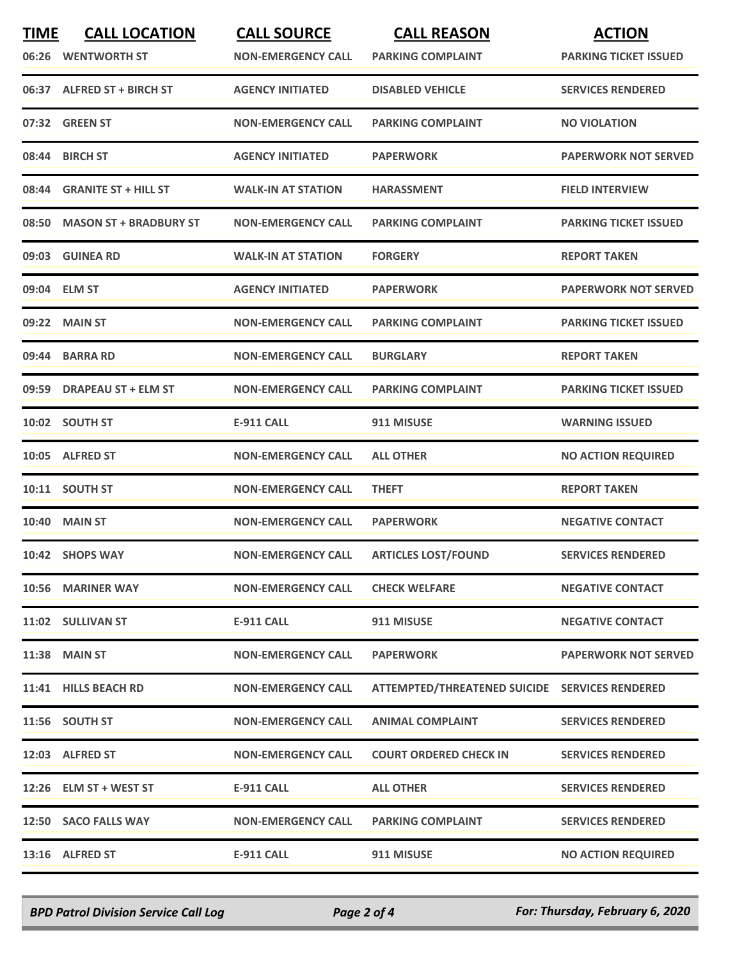| <b>TIME</b> | <b>CALL LOCATION</b><br>06:26 WENTWORTH ST | <b>CALL SOURCE</b><br><b>NON-EMERGENCY CALL</b> | <b>CALL REASON</b><br><b>PARKING COMPLAINT</b> | <b>ACTION</b><br><b>PARKING TICKET ISSUED</b> |
|-------------|--------------------------------------------|-------------------------------------------------|------------------------------------------------|-----------------------------------------------|
|             | 06:37 ALFRED ST + BIRCH ST                 | <b>AGENCY INITIATED</b>                         | <b>DISABLED VEHICLE</b>                        | <b>SERVICES RENDERED</b>                      |
|             | 07:32 GREEN ST                             | <b>NON-EMERGENCY CALL</b>                       | <b>PARKING COMPLAINT</b>                       | <b>NO VIOLATION</b>                           |
|             | 08:44 BIRCH ST                             | <b>AGENCY INITIATED</b>                         | <b>PAPERWORK</b>                               | <b>PAPERWORK NOT SERVED</b>                   |
|             | 08:44 GRANITE ST + HILL ST                 | <b>WALK-IN AT STATION</b>                       | <b>HARASSMENT</b>                              | <b>FIELD INTERVIEW</b>                        |
|             | 08:50 MASON ST + BRADBURY ST               | <b>NON-EMERGENCY CALL</b>                       | <b>PARKING COMPLAINT</b>                       | <b>PARKING TICKET ISSUED</b>                  |
|             | 09:03 GUINEA RD                            | <b>WALK-IN AT STATION</b>                       | <b>FORGERY</b>                                 | <b>REPORT TAKEN</b>                           |
|             | 09:04 ELM ST                               | <b>AGENCY INITIATED</b>                         | <b>PAPERWORK</b>                               | <b>PAPERWORK NOT SERVED</b>                   |
|             | 09:22 MAIN ST                              | <b>NON-EMERGENCY CALL</b>                       | <b>PARKING COMPLAINT</b>                       | <b>PARKING TICKET ISSUED</b>                  |
|             | 09:44 BARRA RD                             | <b>NON-EMERGENCY CALL</b>                       | <b>BURGLARY</b>                                | <b>REPORT TAKEN</b>                           |
|             | 09:59 DRAPEAU ST + ELM ST                  | <b>NON-EMERGENCY CALL</b>                       | <b>PARKING COMPLAINT</b>                       | <b>PARKING TICKET ISSUED</b>                  |
|             | 10:02 SOUTH ST                             | <b>E-911 CALL</b>                               | 911 MISUSE                                     | <b>WARNING ISSUED</b>                         |
|             | 10:05 ALFRED ST                            | <b>NON-EMERGENCY CALL</b>                       | <b>ALL OTHER</b>                               | <b>NO ACTION REQUIRED</b>                     |
|             | 10:11 SOUTH ST                             | <b>NON-EMERGENCY CALL</b>                       | <b>THEFT</b>                                   | <b>REPORT TAKEN</b>                           |
|             | <b>10:40 MAIN ST</b>                       | <b>NON-EMERGENCY CALL</b>                       | <b>PAPERWORK</b>                               | <b>NEGATIVE CONTACT</b>                       |
|             | 10:42 SHOPS WAY                            | <b>NON-EMERGENCY CALL</b>                       | <b>ARTICLES LOST/FOUND</b>                     | <b>SERVICES RENDERED</b>                      |
|             | 10:56 MARINER WAY                          | <b>NON-EMERGENCY CALL</b>                       | <b>CHECK WELFARE</b>                           | <b>NEGATIVE CONTACT</b>                       |
|             | 11:02 SULLIVAN ST                          | E-911 CALL                                      | 911 MISUSE                                     | <b>NEGATIVE CONTACT</b>                       |
|             | <b>11:38 MAIN ST</b>                       | <b>NON-EMERGENCY CALL</b>                       | <b>PAPERWORK</b>                               | <b>PAPERWORK NOT SERVED</b>                   |
|             | 11:41 HILLS BEACH RD                       | <b>NON-EMERGENCY CALL</b>                       | ATTEMPTED/THREATENED SUICIDE SERVICES RENDERED |                                               |
|             | 11:56 SOUTH ST                             | <b>NON-EMERGENCY CALL</b>                       | <b>ANIMAL COMPLAINT</b>                        | <b>SERVICES RENDERED</b>                      |
|             | 12:03 ALFRED ST                            | <b>NON-EMERGENCY CALL</b>                       | <b>COURT ORDERED CHECK IN</b>                  | <b>SERVICES RENDERED</b>                      |
|             | 12:26 ELM ST + WEST ST                     | E-911 CALL                                      | <b>ALL OTHER</b>                               | <b>SERVICES RENDERED</b>                      |
|             | 12:50 SACO FALLS WAY                       | <b>NON-EMERGENCY CALL</b>                       | <b>PARKING COMPLAINT</b>                       | <b>SERVICES RENDERED</b>                      |
|             | 13:16 ALFRED ST                            | <b>E-911 CALL</b>                               | 911 MISUSE                                     | <b>NO ACTION REQUIRED</b>                     |

*BPD Patrol Division Service Call Log Page 2 of 4 For: Thursday, February 6, 2020*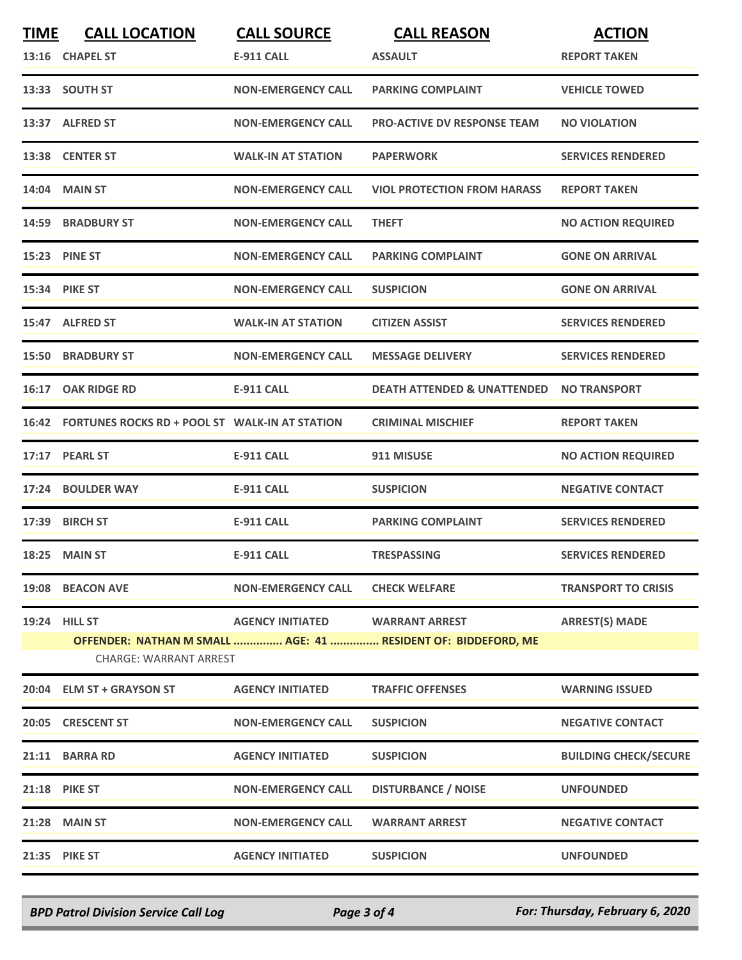| <b>TIME</b> | <b>CALL LOCATION</b>                                 | <b>CALL SOURCE</b>        | <b>CALL REASON</b>                                                                     | <b>ACTION</b>                |
|-------------|------------------------------------------------------|---------------------------|----------------------------------------------------------------------------------------|------------------------------|
|             | 13:16 CHAPEL ST                                      | <b>E-911 CALL</b>         | <b>ASSAULT</b>                                                                         | <b>REPORT TAKEN</b>          |
|             | 13:33 SOUTH ST                                       | <b>NON-EMERGENCY CALL</b> | <b>PARKING COMPLAINT</b>                                                               | <b>VEHICLE TOWED</b>         |
|             | 13:37 ALFRED ST                                      | <b>NON-EMERGENCY CALL</b> | <b>PRO-ACTIVE DV RESPONSE TEAM</b>                                                     | <b>NO VIOLATION</b>          |
|             | 13:38 CENTER ST                                      | <b>WALK-IN AT STATION</b> | <b>PAPERWORK</b>                                                                       | <b>SERVICES RENDERED</b>     |
|             | 14:04 MAIN ST                                        | <b>NON-EMERGENCY CALL</b> | <b>VIOL PROTECTION FROM HARASS</b>                                                     | <b>REPORT TAKEN</b>          |
|             | 14:59 BRADBURY ST                                    | <b>NON-EMERGENCY CALL</b> | <b>THEFT</b>                                                                           | <b>NO ACTION REQUIRED</b>    |
|             | <b>15:23 PINE ST</b>                                 | <b>NON-EMERGENCY CALL</b> | <b>PARKING COMPLAINT</b>                                                               | <b>GONE ON ARRIVAL</b>       |
|             | 15:34 PIKE ST                                        | <b>NON-EMERGENCY CALL</b> | <b>SUSPICION</b>                                                                       | <b>GONE ON ARRIVAL</b>       |
|             | 15:47 ALFRED ST                                      | <b>WALK-IN AT STATION</b> | <b>CITIZEN ASSIST</b>                                                                  | <b>SERVICES RENDERED</b>     |
|             | <b>15:50 BRADBURY ST</b>                             | <b>NON-EMERGENCY CALL</b> | <b>MESSAGE DELIVERY</b>                                                                | <b>SERVICES RENDERED</b>     |
| 16:17       | <b>OAK RIDGE RD</b>                                  | <b>E-911 CALL</b>         | <b>DEATH ATTENDED &amp; UNATTENDED</b>                                                 | <b>NO TRANSPORT</b>          |
|             | 16:42 FORTUNES ROCKS RD + POOL ST WALK-IN AT STATION |                           | <b>CRIMINAL MISCHIEF</b>                                                               | <b>REPORT TAKEN</b>          |
|             | 17:17 PEARL ST                                       | <b>E-911 CALL</b>         | 911 MISUSE                                                                             | <b>NO ACTION REQUIRED</b>    |
| 17:24       | <b>BOULDER WAY</b>                                   | <b>E-911 CALL</b>         | <b>SUSPICION</b>                                                                       | <b>NEGATIVE CONTACT</b>      |
|             | 17:39 BIRCH ST                                       | <b>E-911 CALL</b>         | <b>PARKING COMPLAINT</b>                                                               | <b>SERVICES RENDERED</b>     |
|             | 18:25 MAIN ST                                        | <b>E-911 CALL</b>         | <b>TRESPASSING</b>                                                                     | <b>SERVICES RENDERED</b>     |
|             | 19:08 BEACON AVE                                     | <b>NON-EMERGENCY CALL</b> | <b>CHECK WELFARE</b>                                                                   | <b>TRANSPORT TO CRISIS</b>   |
|             | 19:24 HILL ST                                        | <b>AGENCY INITIATED</b>   | <b>WARRANT ARREST</b><br>OFFENDER: NATHAN M SMALL  AGE: 41  RESIDENT OF: BIDDEFORD, ME | <b>ARREST(S) MADE</b>        |
|             | <b>CHARGE: WARRANT ARREST</b>                        |                           |                                                                                        |                              |
|             | 20:04 ELM ST + GRAYSON ST                            | <b>AGENCY INITIATED</b>   | <b>TRAFFIC OFFENSES</b>                                                                | <b>WARNING ISSUED</b>        |
|             | 20:05 CRESCENT ST                                    | <b>NON-EMERGENCY CALL</b> | <b>SUSPICION</b>                                                                       | <b>NEGATIVE CONTACT</b>      |
|             | 21:11 BARRA RD                                       | <b>AGENCY INITIATED</b>   | <b>SUSPICION</b>                                                                       | <b>BUILDING CHECK/SECURE</b> |
|             | 21:18 PIKE ST                                        | <b>NON-EMERGENCY CALL</b> | <b>DISTURBANCE / NOISE</b>                                                             | <b>UNFOUNDED</b>             |
|             | <b>21:28 MAIN ST</b>                                 | <b>NON-EMERGENCY CALL</b> | <b>WARRANT ARREST</b>                                                                  | <b>NEGATIVE CONTACT</b>      |
|             | 21:35 PIKE ST                                        | <b>AGENCY INITIATED</b>   | <b>SUSPICION</b>                                                                       | <b>UNFOUNDED</b>             |
|             |                                                      |                           |                                                                                        |                              |

*BPD Patrol Division Service Call Log Page 3 of 4 For: Thursday, February 6, 2020*